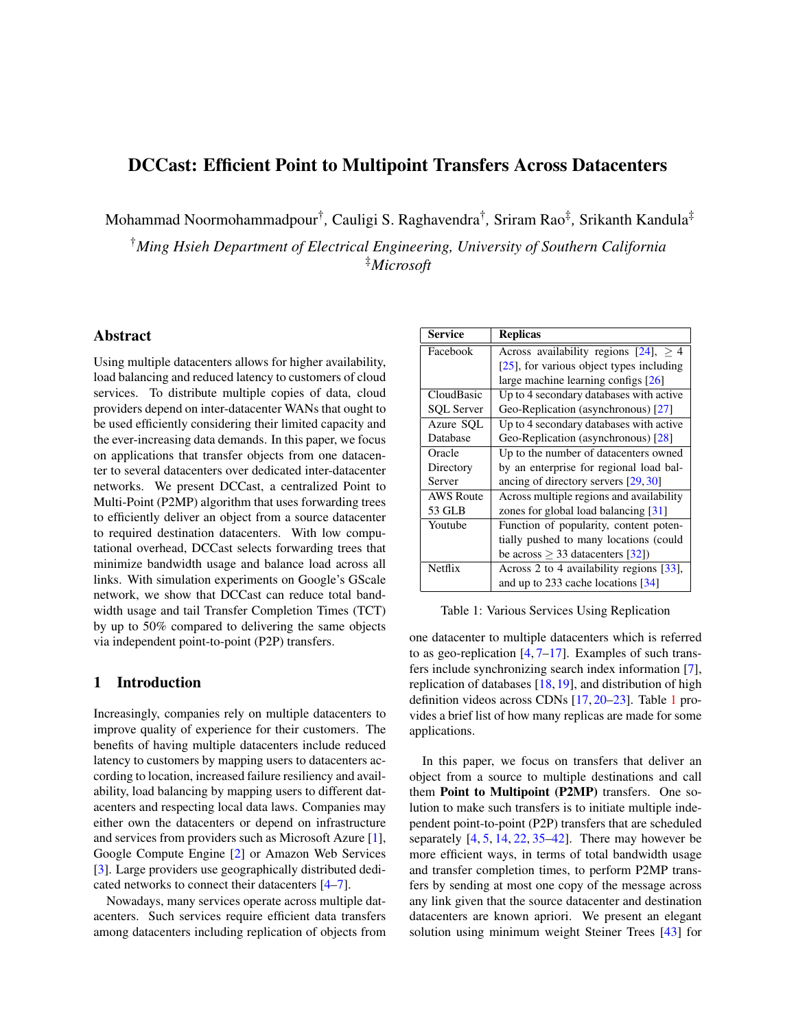# DCCast: Efficient Point to Multipoint Transfers Across Datacenters

Mohammad Noormohammadpour† *,* Cauligi S. Raghavendra† *,* Sriram Rao‡ *,* Srikanth Kandula‡

†*Ming Hsieh Department of Electrical Engineering, University of Southern California* ‡*Microsoft*

# Abstract

Using multiple datacenters allows for higher availability, load balancing and reduced latency to customers of cloud services. To distribute multiple copies of data, cloud providers depend on inter-datacenter WANs that ought to be used efficiently considering their limited capacity and the ever-increasing data demands. In this paper, we focus on applications that transfer objects from one datacenter to several datacenters over dedicated inter-datacenter networks. We present DCCast, a centralized Point to Multi-Point (P2MP) algorithm that uses forwarding trees to efficiently deliver an object from a source datacenter to required destination datacenters. With low computational overhead, DCCast selects forwarding trees that minimize bandwidth usage and balance load across all links. With simulation experiments on Google's GScale network, we show that DCCast can reduce total bandwidth usage and tail Transfer Completion Times (TCT) by up to 50% compared to delivering the same objects via independent point-to-point (P2P) transfers.

### 1 Introduction

Increasingly, companies rely on multiple datacenters to improve quality of experience for their customers. The benefits of having multiple datacenters include reduced latency to customers by mapping users to datacenters according to location, increased failure resiliency and availability, load balancing by mapping users to different datacenters and respecting local data laws. Companies may either own the datacenters or depend on infrastructure and services from providers such as Microsoft Azure [\[1\]](#page-5-0), Google Compute Engine [\[2\]](#page-5-1) or Amazon Web Services [\[3\]](#page-5-2). Large providers use geographically distributed dedicated networks to connect their datacenters [\[4](#page-5-3)[–7\]](#page-5-4).

Nowadays, many services operate across multiple datacenters. Such services require efficient data transfers among datacenters including replication of objects from

| Service           | <b>Replicas</b>                                          |
|-------------------|----------------------------------------------------------|
| Facebook          | Across availability regions $\overline{[24]}$ , $\geq 4$ |
|                   | $[25]$ , for various object types including              |
|                   | large machine learning configs $[26]$                    |
| CloudBasic        | Up to 4 secondary databases with active                  |
| <b>SQL Server</b> | Geo-Replication (asynchronous) [27]                      |
| Azure SQL         | Up to 4 secondary databases with active                  |
| Database          | Geo-Replication (asynchronous) [28]                      |
| Oracle            | Up to the number of datacenters owned                    |
| Directory         | by an enterprise for regional load bal-                  |
| Server            | ancing of directory servers [29, 30]                     |
| <b>AWS Route</b>  | Across multiple regions and availability                 |
| 53 GLB            | zones for global load balancing $[31]$                   |
| Youtube           | Function of popularity, content poten-                   |
|                   | tially pushed to many locations (could                   |
|                   | be across $\geq$ 33 datacenters [32])                    |
| Netflix           | Across 2 to 4 availability regions [33],                 |
|                   | and up to 233 cache locations $[34]$                     |

<span id="page-0-0"></span>Table 1: Various Services Using Replication

one datacenter to multiple datacenters which is referred to as geo-replication  $[4, 7-17]$  $[4, 7-17]$  $[4, 7-17]$  $[4, 7-17]$ . Examples of such transfers include synchronizing search index information [\[7\]](#page-5-4), replication of databases [\[18,](#page-6-12)[19\]](#page-6-13), and distribution of high definition videos across CDNs [\[17,](#page-6-11) [20–](#page-6-14)[23\]](#page-6-15). Table [1](#page-0-0) provides a brief list of how many replicas are made for some applications.

In this paper, we focus on transfers that deliver an object from a source to multiple destinations and call them Point to Multipoint (P2MP) transfers. One solution to make such transfers is to initiate multiple independent point-to-point (P2P) transfers that are scheduled separately  $[4, 5, 14, 22, 35-42]$  $[4, 5, 14, 22, 35-42]$  $[4, 5, 14, 22, 35-42]$  $[4, 5, 14, 22, 35-42]$  $[4, 5, 14, 22, 35-42]$  $[4, 5, 14, 22, 35-42]$  $[4, 5, 14, 22, 35-42]$  $[4, 5, 14, 22, 35-42]$  $[4, 5, 14, 22, 35-42]$ . There may however be more efficient ways, in terms of total bandwidth usage and transfer completion times, to perform P2MP transfers by sending at most one copy of the message across any link given that the source datacenter and destination datacenters are known apriori. We present an elegant solution using minimum weight Steiner Trees [\[43\]](#page-6-20) for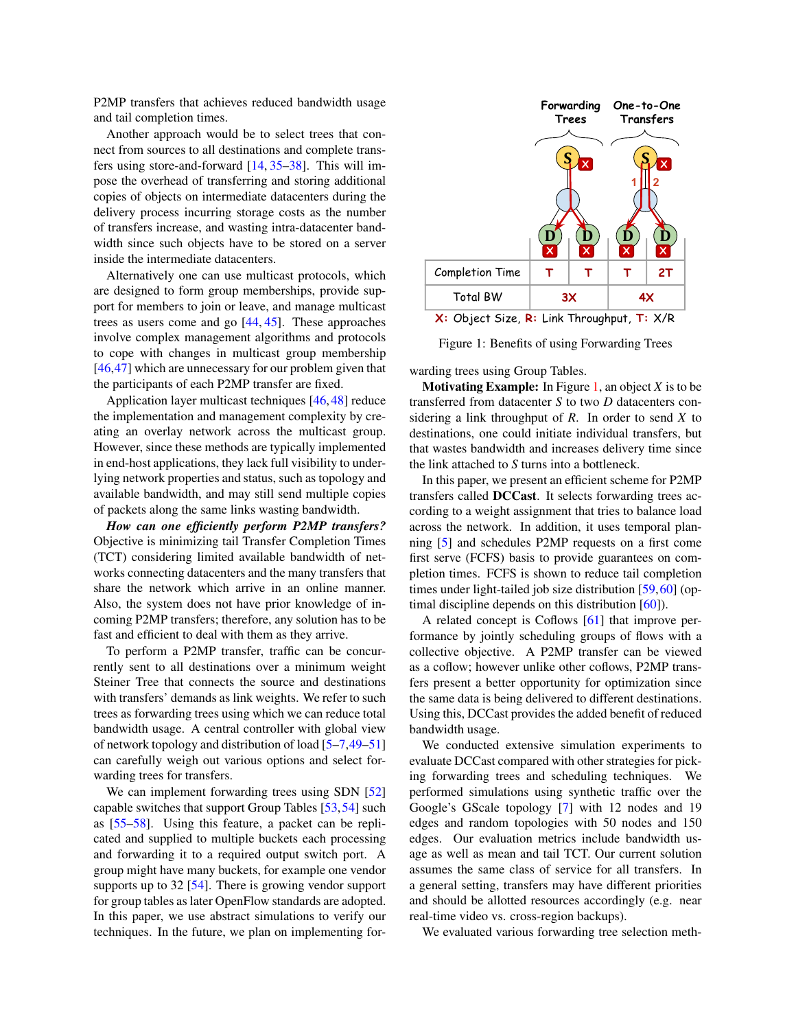P2MP transfers that achieves reduced bandwidth usage and tail completion times.

Another approach would be to select trees that connect from sources to all destinations and complete transfers using store-and-forward [\[14,](#page-6-16) [35](#page-6-18)[–38\]](#page-6-21). This will impose the overhead of transferring and storing additional copies of objects on intermediate datacenters during the delivery process incurring storage costs as the number of transfers increase, and wasting intra-datacenter bandwidth since such objects have to be stored on a server inside the intermediate datacenters.

Alternatively one can use multicast protocols, which are designed to form group memberships, provide support for members to join or leave, and manage multicast trees as users come and go [\[44,](#page-6-22) [45\]](#page-7-0). These approaches involve complex management algorithms and protocols to cope with changes in multicast group membership [\[46](#page-7-1)[,47\]](#page-7-2) which are unnecessary for our problem given that the participants of each P2MP transfer are fixed.

Application layer multicast techniques [\[46,](#page-7-1)[48\]](#page-7-3) reduce the implementation and management complexity by creating an overlay network across the multicast group. However, since these methods are typically implemented in end-host applications, they lack full visibility to underlying network properties and status, such as topology and available bandwidth, and may still send multiple copies of packets along the same links wasting bandwidth.

*How can one efficiently perform P2MP transfers?* Objective is minimizing tail Transfer Completion Times (TCT) considering limited available bandwidth of networks connecting datacenters and the many transfers that share the network which arrive in an online manner. Also, the system does not have prior knowledge of incoming P2MP transfers; therefore, any solution has to be fast and efficient to deal with them as they arrive.

To perform a P2MP transfer, traffic can be concurrently sent to all destinations over a minimum weight Steiner Tree that connects the source and destinations with transfers' demands as link weights. We refer to such trees as forwarding trees using which we can reduce total bandwidth usage. A central controller with global view of network topology and distribution of load [\[5–](#page-5-5)[7,](#page-5-4)[49–](#page-7-4)[51\]](#page-7-5) can carefully weigh out various options and select forwarding trees for transfers.

We can implement forwarding trees using SDN [\[52\]](#page-7-6) capable switches that support Group Tables [\[53,](#page-7-7)[54\]](#page-7-8) such as [\[55–](#page-7-9)[58\]](#page-7-10). Using this feature, a packet can be replicated and supplied to multiple buckets each processing and forwarding it to a required output switch port. A group might have many buckets, for example one vendor supports up to 32 [\[54\]](#page-7-8). There is growing vendor support for group tables as later OpenFlow standards are adopted. In this paper, we use abstract simulations to verify our techniques. In the future, we plan on implementing for-



<span id="page-1-0"></span>Figure 1: Benefits of using Forwarding Trees

warding trees using Group Tables.

**Motivating Example:** In Figure [1,](#page-1-0) an object  $X$  is to be transferred from datacenter *S* to two *D* datacenters considering a link throughput of *R*. In order to send *X* to destinations, one could initiate individual transfers, but that wastes bandwidth and increases delivery time since the link attached to *S* turns into a bottleneck.

In this paper, we present an efficient scheme for P2MP transfers called DCCast. It selects forwarding trees according to a weight assignment that tries to balance load across the network. In addition, it uses temporal planning [\[5\]](#page-5-5) and schedules P2MP requests on a first come first serve (FCFS) basis to provide guarantees on completion times. FCFS is shown to reduce tail completion times under light-tailed job size distribution [\[59,](#page-7-11)[60\]](#page-7-12) (optimal discipline depends on this distribution [\[60\]](#page-7-12)).

A related concept is Coflows [\[61\]](#page-7-13) that improve performance by jointly scheduling groups of flows with a collective objective. A P2MP transfer can be viewed as a coflow; however unlike other coflows, P2MP transfers present a better opportunity for optimization since the same data is being delivered to different destinations. Using this, DCCast provides the added benefit of reduced bandwidth usage.

We conducted extensive simulation experiments to evaluate DCCast compared with other strategies for picking forwarding trees and scheduling techniques. We performed simulations using synthetic traffic over the Google's GScale topology [\[7\]](#page-5-4) with 12 nodes and 19 edges and random topologies with 50 nodes and 150 edges. Our evaluation metrics include bandwidth usage as well as mean and tail TCT. Our current solution assumes the same class of service for all transfers. In a general setting, transfers may have different priorities and should be allotted resources accordingly (e.g. near real-time video vs. cross-region backups).

We evaluated various forwarding tree selection meth-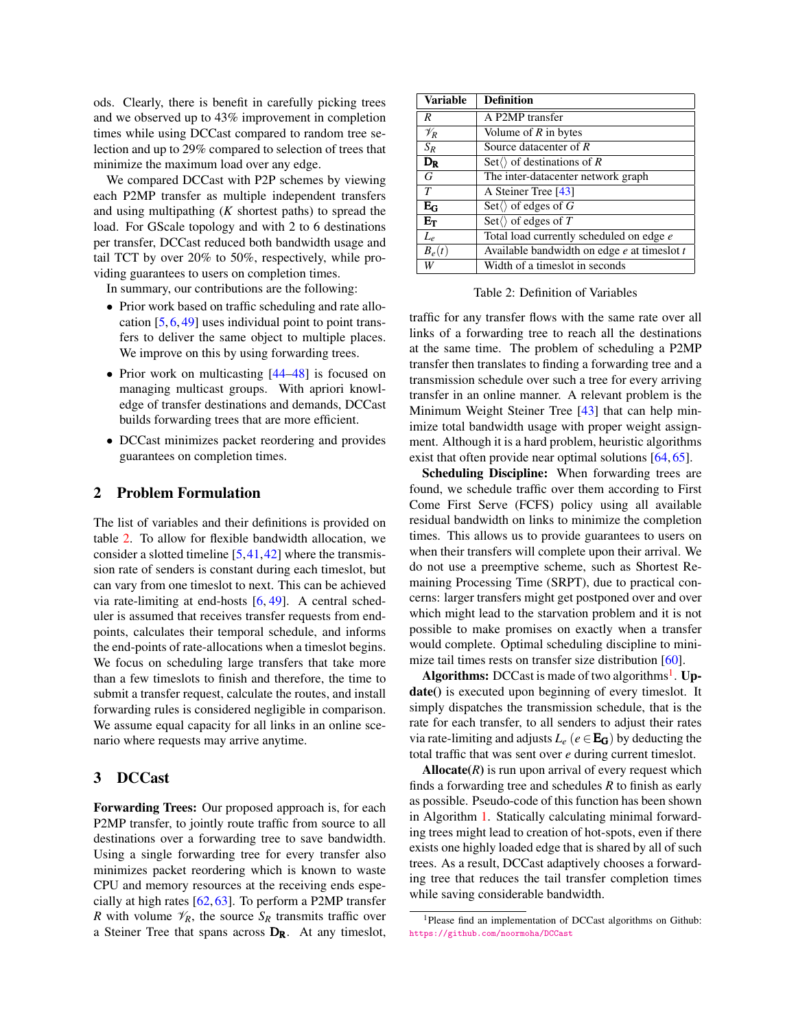ods. Clearly, there is benefit in carefully picking trees and we observed up to 43% improvement in completion times while using DCCast compared to random tree selection and up to 29% compared to selection of trees that minimize the maximum load over any edge.

We compared DCCast with P2P schemes by viewing each P2MP transfer as multiple independent transfers and using multipathing (*K* shortest paths) to spread the load. For GScale topology and with 2 to 6 destinations per transfer, DCCast reduced both bandwidth usage and tail TCT by over 20% to 50%, respectively, while providing guarantees to users on completion times.

In summary, our contributions are the following:

- Prior work based on traffic scheduling and rate allocation  $[5, 6, 49]$  $[5, 6, 49]$  $[5, 6, 49]$  $[5, 6, 49]$  $[5, 6, 49]$  uses individual point to point transfers to deliver the same object to multiple places. We improve on this by using forwarding trees.
- Prior work on multicasting [\[44–](#page-6-22)[48\]](#page-7-3) is focused on managing multicast groups. With apriori knowledge of transfer destinations and demands, DCCast builds forwarding trees that are more efficient.
- DCCast minimizes packet reordering and provides guarantees on completion times.

### 2 Problem Formulation

The list of variables and their definitions is provided on table [2.](#page-2-0) To allow for flexible bandwidth allocation, we consider a slotted timeline  $[5,41,42]$  $[5,41,42]$  $[5,41,42]$  where the transmission rate of senders is constant during each timeslot, but can vary from one timeslot to next. This can be achieved via rate-limiting at end-hosts [\[6,](#page-5-6) [49\]](#page-7-4). A central scheduler is assumed that receives transfer requests from endpoints, calculates their temporal schedule, and informs the end-points of rate-allocations when a timeslot begins. We focus on scheduling large transfers that take more than a few timeslots to finish and therefore, the time to submit a transfer request, calculate the routes, and install forwarding rules is considered negligible in comparison. We assume equal capacity for all links in an online scenario where requests may arrive anytime.

#### <span id="page-2-2"></span>3 DCCast

Forwarding Trees: Our proposed approach is, for each P2MP transfer, to jointly route traffic from source to all destinations over a forwarding tree to save bandwidth. Using a single forwarding tree for every transfer also minimizes packet reordering which is known to waste CPU and memory resources at the receiving ends especially at high rates [\[62,](#page-7-14) [63\]](#page-7-15). To perform a P2MP transfer *R* with volume  $\mathcal{V}_R$ , the source  $S_R$  transmits traffic over a Steiner Tree that spans across  $D_R$ . At any timeslot,

| Variable        | <b>Definition</b>                            |
|-----------------|----------------------------------------------|
| R               | A P2MP transfer                              |
| $\mathscr{V}_R$ | Volume of $R$ in bytes                       |
| $S_R$           | Source datacenter of $R$                     |
| $D_R$           | Set $\langle \rangle$ of destinations of R   |
| G               | The inter-datacenter network graph           |
| T               | A Steiner Tree [43]                          |
| $\rm E_{G}$     | Set $\langle \rangle$ of edges of G          |
| $E_T$           | Set $\langle \rangle$ of edges of T          |
| $L_e$           | Total load currently scheduled on edge e     |
| $B_e(t)$        | Available bandwidth on edge e at times lot t |
| W               | Width of a timeslot in seconds               |

<span id="page-2-0"></span>Table 2: Definition of Variables

traffic for any transfer flows with the same rate over all links of a forwarding tree to reach all the destinations at the same time. The problem of scheduling a P2MP transfer then translates to finding a forwarding tree and a transmission schedule over such a tree for every arriving transfer in an online manner. A relevant problem is the Minimum Weight Steiner Tree [\[43\]](#page-6-20) that can help minimize total bandwidth usage with proper weight assignment. Although it is a hard problem, heuristic algorithms exist that often provide near optimal solutions [\[64,](#page-7-16) [65\]](#page-7-17).

Scheduling Discipline: When forwarding trees are found, we schedule traffic over them according to First Come First Serve (FCFS) policy using all available residual bandwidth on links to minimize the completion times. This allows us to provide guarantees to users on when their transfers will complete upon their arrival. We do not use a preemptive scheme, such as Shortest Remaining Processing Time (SRPT), due to practical concerns: larger transfers might get postponed over and over which might lead to the starvation problem and it is not possible to make promises on exactly when a transfer would complete. Optimal scheduling discipline to mini-mize tail times rests on transfer size distribution [\[60\]](#page-7-12).

Algorithms: DCCast is made of two algorithms<sup>[1](#page-2-1)</sup>. Update() is executed upon beginning of every timeslot. It simply dispatches the transmission schedule, that is the rate for each transfer, to all senders to adjust their rates via rate-limiting and adjusts  $L_e$  ( $e \in \mathbf{E}_G$ ) by deducting the total traffic that was sent over *e* during current timeslot.

Allocate $(R)$  is run upon arrival of every request which finds a forwarding tree and schedules *R* to finish as early as possible. Pseudo-code of this function has been shown in Algorithm [1.](#page-3-0) Statically calculating minimal forwarding trees might lead to creation of hot-spots, even if there exists one highly loaded edge that is shared by all of such trees. As a result, DCCast adaptively chooses a forwarding tree that reduces the tail transfer completion times while saving considerable bandwidth.

<span id="page-2-1"></span><sup>&</sup>lt;sup>1</sup>Please find an implementation of DCCast algorithms on Github: <https://github.com/noormoha/DCCast>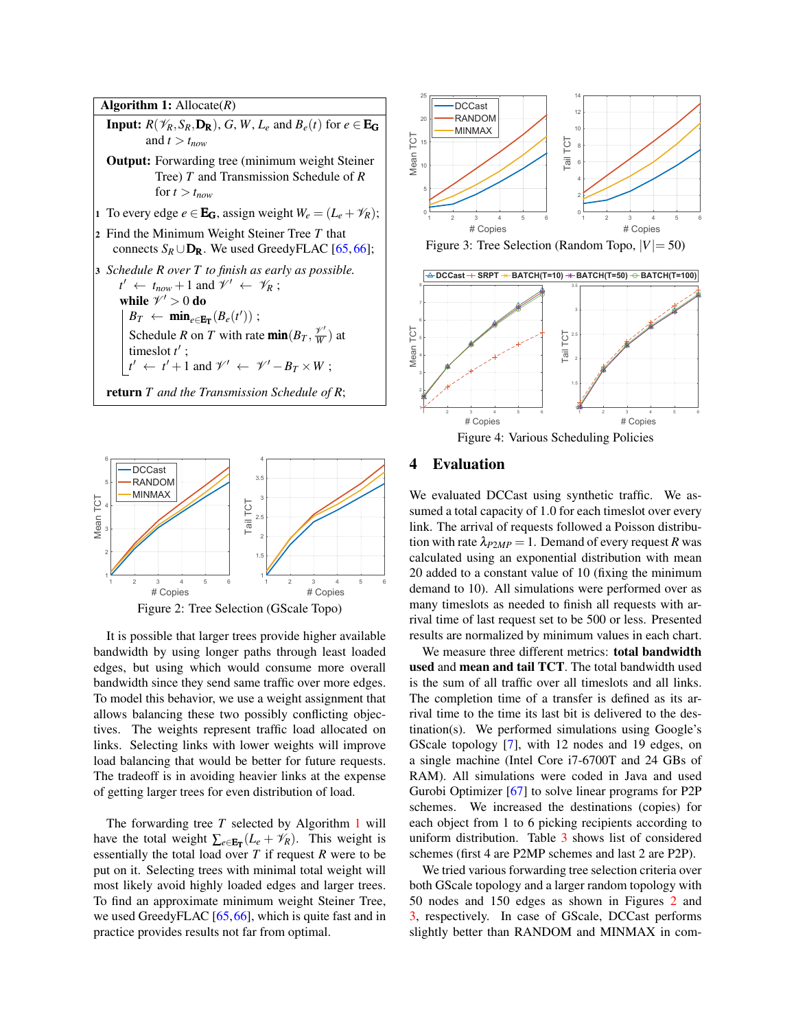Algorithm 1: Allocate(*R*) **Input:**  $R(\mathscr{V}_R, S_R, \mathbf{D_R})$ ,  $G, W, L_e$  and  $B_e(t)$  for  $e \in \mathbf{E_G}$ and  $t > t_{now}$ Output: Forwarding tree (minimum weight Steiner Tree) *T* and Transmission Schedule of *R* for  $t > t_{now}$ 1 To every edge  $e \in \mathbf{E}_G$ , assign weight  $W_e = (L_e + \mathcal{V}_R)$ ; <sup>2</sup> Find the Minimum Weight Steiner Tree *T* that connects  $S_R \cup D_R$ . We used GreedyFLAC [\[65,](#page-7-17) [66\]](#page-7-18); <sup>3</sup> *Schedule R over T to finish as early as possible.*  $t' \leftarrow t_{now} + 1$  and  $\mathcal{V}' \leftarrow \mathcal{V}_R$ ; while  $\mathscr{V}' > 0$  do  $B_T \leftarrow \min_{e \in \mathbf{E_T}} (B_e(t'))$ ; Schedule *R* on *T* with rate  $\min(B_T, \frac{\gamma'}{W})$  $\frac{\gamma}{W}$ ) at times lot  $t'$ ;  $t' \leftarrow t' + 1$  and  $\mathscr{V}' \leftarrow \mathscr{V}' - B_T \times W$ ; return *T and the Transmission Schedule of R*;

<span id="page-3-0"></span>

<span id="page-3-1"></span>It is possible that larger trees provide higher available bandwidth by using longer paths through least loaded edges, but using which would consume more overall bandwidth since they send same traffic over more edges. To model this behavior, we use a weight assignment that allows balancing these two possibly conflicting objectives. The weights represent traffic load allocated on links. Selecting links with lower weights will improve load balancing that would be better for future requests. The tradeoff is in avoiding heavier links at the expense of getting larger trees for even distribution of load.

The forwarding tree *T* selected by Algorithm [1](#page-3-0) will have the total weight  $\sum_{e \in \mathbf{E_T}} (L_e + \mathcal{V}_R)$ . This weight is essentially the total load over *T* if request *R* were to be put on it. Selecting trees with minimal total weight will most likely avoid highly loaded edges and larger trees. To find an approximate minimum weight Steiner Tree, we used GreedyFLAC [\[65,](#page-7-17)[66\]](#page-7-18), which is quite fast and in practice provides results not far from optimal.



<span id="page-3-2"></span>Figure 3: Tree Selection (Random Topo,  $|V|=50$ )



<span id="page-3-3"></span>Figure 4: Various Scheduling Policies

## 4 Evaluation

We evaluated DCCast using synthetic traffic. We assumed a total capacity of 1.0 for each timeslot over every link. The arrival of requests followed a Poisson distribution with rate  $\lambda_{P2MP} = 1$ . Demand of every request *R* was calculated using an exponential distribution with mean 20 added to a constant value of 10 (fixing the minimum demand to 10). All simulations were performed over as many timeslots as needed to finish all requests with arrival time of last request set to be 500 or less. Presented results are normalized by minimum values in each chart.

We measure three different metrics: total bandwidth used and mean and tail TCT. The total bandwidth used is the sum of all traffic over all timeslots and all links. The completion time of a transfer is defined as its arrival time to the time its last bit is delivered to the destination(s). We performed simulations using Google's GScale topology [\[7\]](#page-5-4), with 12 nodes and 19 edges, on a single machine (Intel Core i7-6700T and 24 GBs of RAM). All simulations were coded in Java and used Gurobi Optimizer [\[67\]](#page-7-19) to solve linear programs for P2P schemes. We increased the destinations (copies) for each object from 1 to 6 picking recipients according to uniform distribution. Table [3](#page-4-0) shows list of considered schemes (first 4 are P2MP schemes and last 2 are P2P).

We tried various forwarding tree selection criteria over both GScale topology and a larger random topology with 50 nodes and 150 edges as shown in Figures [2](#page-3-1) and [3,](#page-3-2) respectively. In case of GScale, DCCast performs slightly better than RANDOM and MINMAX in com-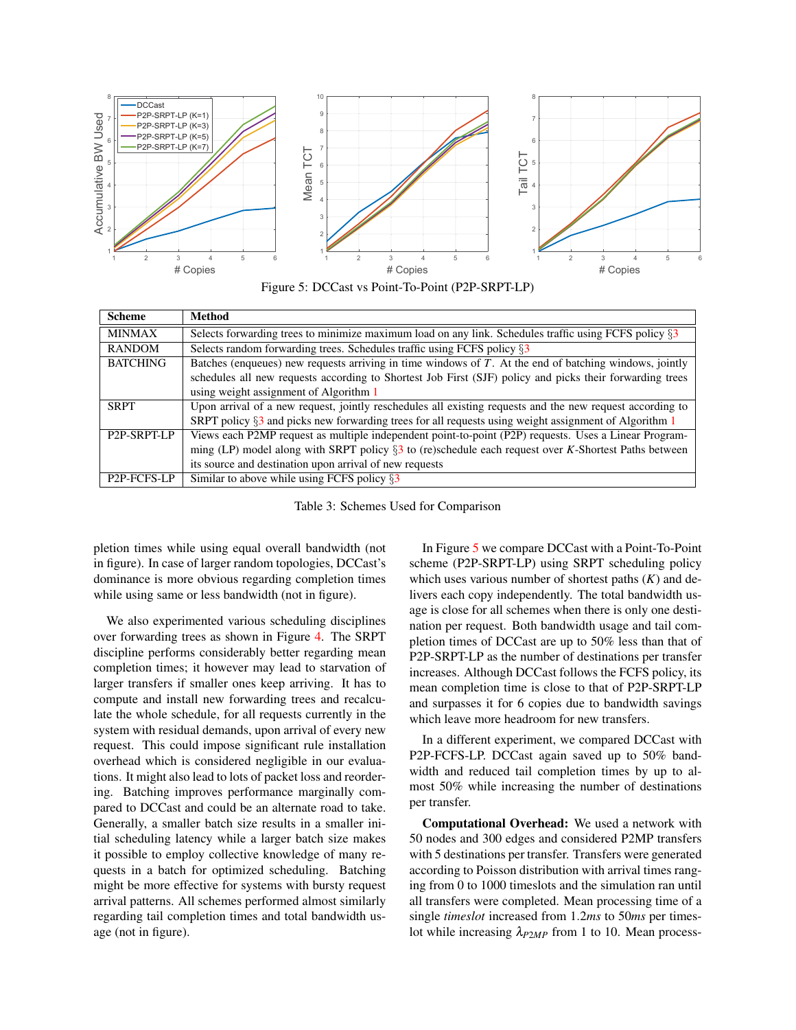

<span id="page-4-1"></span>Figure 5: DCCast vs Point-To-Point (P2P-SRPT-LP)

| <b>Scheme</b>            | Method                                                                                                    |
|--------------------------|-----------------------------------------------------------------------------------------------------------|
| <b>MINMAX</b>            | Selects forwarding trees to minimize maximum load on any link. Schedules traffic using FCFS policy §3     |
| <b>RANDOM</b>            | Selects random forwarding trees. Schedules traffic using FCFS policy §3                                   |
| <b>BATCHING</b>          | Batches (enqueues) new requests arriving in time windows of $T$ . At the end of batching windows, jointly |
|                          | schedules all new requests according to Shortest Job First (SJF) policy and picks their forwarding trees  |
|                          | using weight assignment of Algorithm 1                                                                    |
| <b>SRPT</b>              | Upon arrival of a new request, jointly reschedules all existing requests and the new request according to |
|                          | SRPT policy $\S$ 3 and picks new forwarding trees for all requests using weight assignment of Algorithm 1 |
| P <sub>2</sub> P-SRPT-LP | Views each P2MP request as multiple independent point-to-point (P2P) requests. Uses a Linear Program-     |
|                          | ming (LP) model along with SRPT policy $\S$ 3 to (re)schedule each request over K-Shortest Paths between  |
|                          | its source and destination upon arrival of new requests                                                   |
| P <sub>2</sub> P-FCFS-LP | Similar to above while using FCFS policy $\S$ 3                                                           |

<span id="page-4-0"></span>Table 3: Schemes Used for Comparison

pletion times while using equal overall bandwidth (not in figure). In case of larger random topologies, DCCast's dominance is more obvious regarding completion times while using same or less bandwidth (not in figure).

We also experimented various scheduling disciplines over forwarding trees as shown in Figure [4.](#page-3-3) The SRPT discipline performs considerably better regarding mean completion times; it however may lead to starvation of larger transfers if smaller ones keep arriving. It has to compute and install new forwarding trees and recalculate the whole schedule, for all requests currently in the system with residual demands, upon arrival of every new request. This could impose significant rule installation overhead which is considered negligible in our evaluations. It might also lead to lots of packet loss and reordering. Batching improves performance marginally compared to DCCast and could be an alternate road to take. Generally, a smaller batch size results in a smaller initial scheduling latency while a larger batch size makes it possible to employ collective knowledge of many requests in a batch for optimized scheduling. Batching might be more effective for systems with bursty request arrival patterns. All schemes performed almost similarly regarding tail completion times and total bandwidth usage (not in figure).

In Figure [5](#page-4-1) we compare DCCast with a Point-To-Point scheme (P2P-SRPT-LP) using SRPT scheduling policy which uses various number of shortest paths (*K*) and delivers each copy independently. The total bandwidth usage is close for all schemes when there is only one destination per request. Both bandwidth usage and tail completion times of DCCast are up to 50% less than that of P2P-SRPT-LP as the number of destinations per transfer increases. Although DCCast follows the FCFS policy, its mean completion time is close to that of P2P-SRPT-LP and surpasses it for 6 copies due to bandwidth savings which leave more headroom for new transfers.

In a different experiment, we compared DCCast with P2P-FCFS-LP. DCCast again saved up to 50% bandwidth and reduced tail completion times by up to almost 50% while increasing the number of destinations per transfer.

Computational Overhead: We used a network with 50 nodes and 300 edges and considered P2MP transfers with 5 destinations per transfer. Transfers were generated according to Poisson distribution with arrival times ranging from 0 to 1000 timeslots and the simulation ran until all transfers were completed. Mean processing time of a single *timeslot* increased from 1.2*ms* to 50*ms* per timeslot while increasing λ*P*2*MP* from 1 to 10. Mean process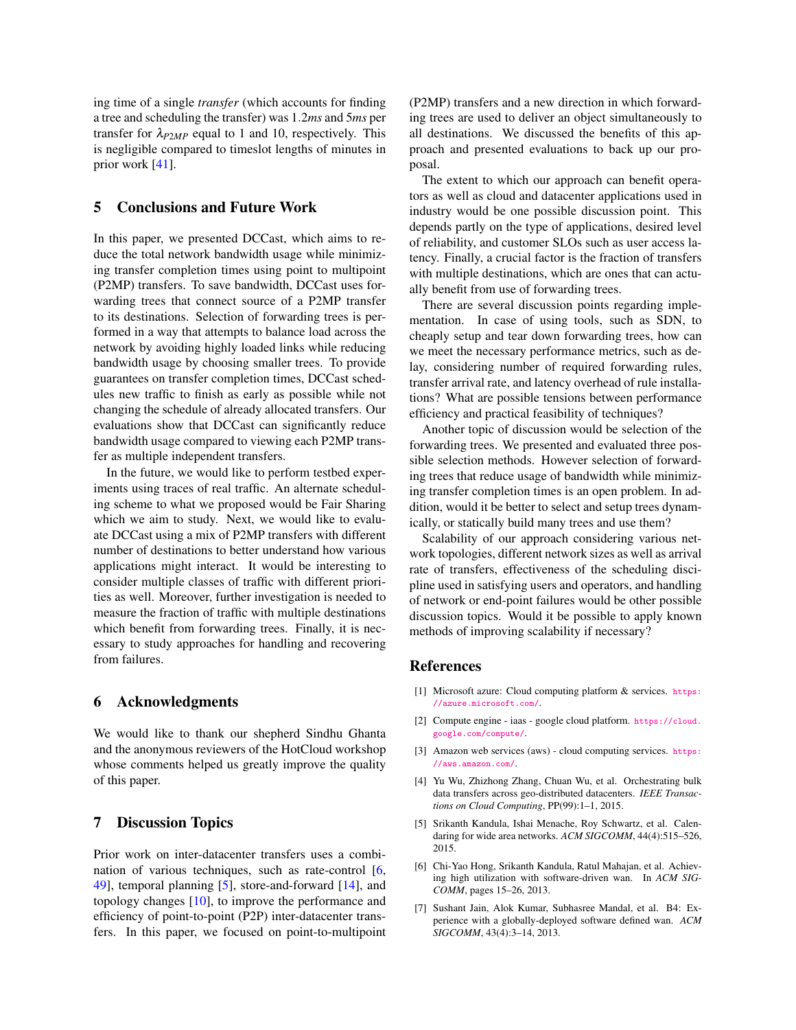ing time of a single *transfer* (which accounts for finding a tree and scheduling the transfer) was 1.2*ms* and 5*ms* per transfer for  $\lambda_{P2MP}$  equal to 1 and 10, respectively. This is negligible compared to timeslot lengths of minutes in prior work [\[41\]](#page-6-23).

## 5 Conclusions and Future Work

In this paper, we presented DCCast, which aims to reduce the total network bandwidth usage while minimizing transfer completion times using point to multipoint (P2MP) transfers. To save bandwidth, DCCast uses forwarding trees that connect source of a P2MP transfer to its destinations. Selection of forwarding trees is performed in a way that attempts to balance load across the network by avoiding highly loaded links while reducing bandwidth usage by choosing smaller trees. To provide guarantees on transfer completion times, DCCast schedules new traffic to finish as early as possible while not changing the schedule of already allocated transfers. Our evaluations show that DCCast can significantly reduce bandwidth usage compared to viewing each P2MP transfer as multiple independent transfers.

In the future, we would like to perform testbed experiments using traces of real traffic. An alternate scheduling scheme to what we proposed would be Fair Sharing which we aim to study. Next, we would like to evaluate DCCast using a mix of P2MP transfers with different number of destinations to better understand how various applications might interact. It would be interesting to consider multiple classes of traffic with different priorities as well. Moreover, further investigation is needed to measure the fraction of traffic with multiple destinations which benefit from forwarding trees. Finally, it is necessary to study approaches for handling and recovering from failures.

#### 6 Acknowledgments

We would like to thank our shepherd Sindhu Ghanta and the anonymous reviewers of the HotCloud workshop whose comments helped us greatly improve the quality of this paper.

### 7 Discussion Topics

Prior work on inter-datacenter transfers uses a combination of various techniques, such as rate-control [\[6,](#page-5-6) [49\]](#page-7-4), temporal planning [\[5\]](#page-5-5), store-and-forward [\[14\]](#page-6-16), and topology changes [\[10\]](#page-6-24), to improve the performance and efficiency of point-to-point (P2P) inter-datacenter transfers. In this paper, we focused on point-to-multipoint (P2MP) transfers and a new direction in which forwarding trees are used to deliver an object simultaneously to all destinations. We discussed the benefits of this approach and presented evaluations to back up our proposal.

The extent to which our approach can benefit operators as well as cloud and datacenter applications used in industry would be one possible discussion point. This depends partly on the type of applications, desired level of reliability, and customer SLOs such as user access latency. Finally, a crucial factor is the fraction of transfers with multiple destinations, which are ones that can actually benefit from use of forwarding trees.

There are several discussion points regarding implementation. In case of using tools, such as SDN, to cheaply setup and tear down forwarding trees, how can we meet the necessary performance metrics, such as delay, considering number of required forwarding rules, transfer arrival rate, and latency overhead of rule installations? What are possible tensions between performance efficiency and practical feasibility of techniques?

Another topic of discussion would be selection of the forwarding trees. We presented and evaluated three possible selection methods. However selection of forwarding trees that reduce usage of bandwidth while minimizing transfer completion times is an open problem. In addition, would it be better to select and setup trees dynamically, or statically build many trees and use them?

Scalability of our approach considering various network topologies, different network sizes as well as arrival rate of transfers, effectiveness of the scheduling discipline used in satisfying users and operators, and handling of network or end-point failures would be other possible discussion topics. Would it be possible to apply known methods of improving scalability if necessary?

### References

- <span id="page-5-0"></span>[1] Microsoft azure: Cloud computing platform & services. [https:](https://azure.microsoft.com/) [//azure.microsoft.com/](https://azure.microsoft.com/).
- <span id="page-5-1"></span>[2] Compute engine - iaas - google cloud platform. [https://cloud.](https://cloud.google.com/compute/) [google.com/compute/](https://cloud.google.com/compute/).
- <span id="page-5-2"></span>[3] Amazon web services (aws) - cloud computing services. [https:](https://aws.amazon.com/) [//aws.amazon.com/](https://aws.amazon.com/).
- <span id="page-5-3"></span>[4] Yu Wu, Zhizhong Zhang, Chuan Wu, et al. Orchestrating bulk data transfers across geo-distributed datacenters. *IEEE Transactions on Cloud Computing*, PP(99):1–1, 2015.
- <span id="page-5-5"></span>[5] Srikanth Kandula, Ishai Menache, Roy Schwartz, et al. Calendaring for wide area networks. *ACM SIGCOMM*, 44(4):515–526, 2015.
- <span id="page-5-6"></span>[6] Chi-Yao Hong, Srikanth Kandula, Ratul Mahajan, et al. Achieving high utilization with software-driven wan. In *ACM SIG-COMM*, pages 15–26, 2013.
- <span id="page-5-4"></span>[7] Sushant Jain, Alok Kumar, Subhasree Mandal, et al. B4: Experience with a globally-deployed software defined wan. *ACM SIGCOMM*, 43(4):3–14, 2013.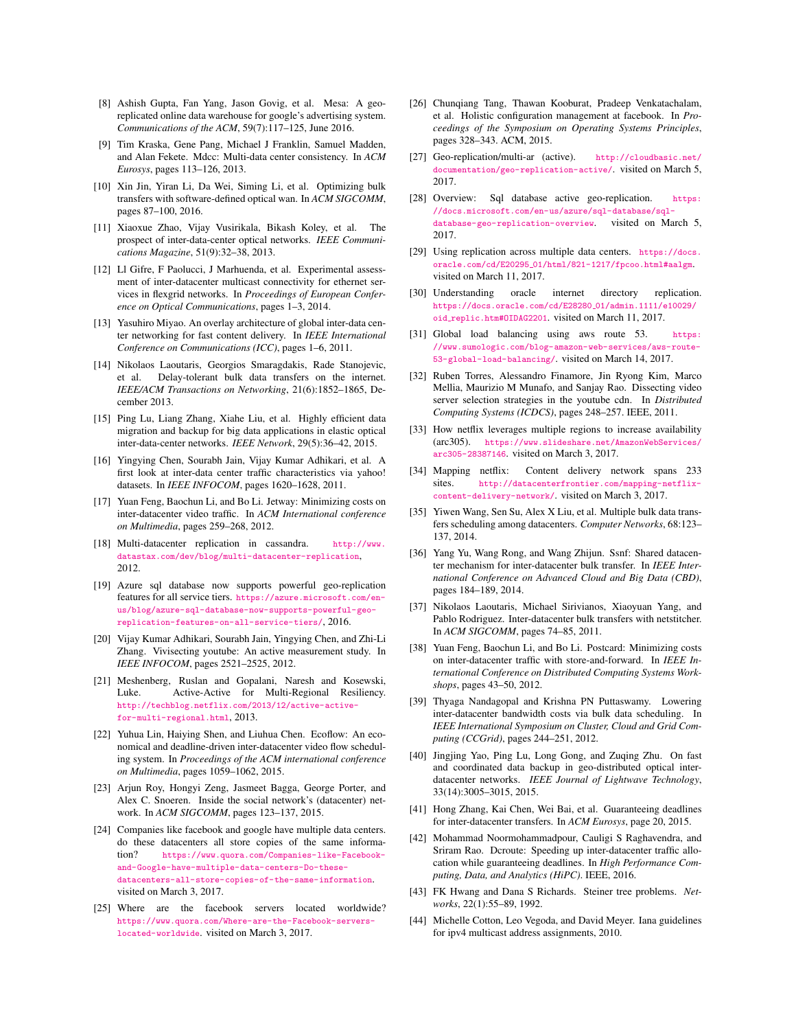- [8] Ashish Gupta, Fan Yang, Jason Govig, et al. Mesa: A georeplicated online data warehouse for google's advertising system. *Communications of the ACM*, 59(7):117–125, June 2016.
- [9] Tim Kraska, Gene Pang, Michael J Franklin, Samuel Madden, and Alan Fekete. Mdcc: Multi-data center consistency. In *ACM Eurosys*, pages 113–126, 2013.
- <span id="page-6-24"></span>[10] Xin Jin, Yiran Li, Da Wei, Siming Li, et al. Optimizing bulk transfers with software-defined optical wan. In *ACM SIGCOMM*, pages 87–100, 2016.
- [11] Xiaoxue Zhao, Vijay Vusirikala, Bikash Koley, et al. The prospect of inter-data-center optical networks. *IEEE Communications Magazine*, 51(9):32–38, 2013.
- [12] Ll Gifre, F Paolucci, J Marhuenda, et al. Experimental assessment of inter-datacenter multicast connectivity for ethernet services in flexgrid networks. In *Proceedings of European Conference on Optical Communications*, pages 1–3, 2014.
- [13] Yasuhiro Miyao. An overlay architecture of global inter-data center networking for fast content delivery. In *IEEE International Conference on Communications (ICC)*, pages 1–6, 2011.
- <span id="page-6-16"></span>[14] Nikolaos Laoutaris, Georgios Smaragdakis, Rade Stanojevic, et al. Delay-tolerant bulk data transfers on the internet. *IEEE/ACM Transactions on Networking*, 21(6):1852–1865, December 2013.
- [15] Ping Lu, Liang Zhang, Xiahe Liu, et al. Highly efficient data migration and backup for big data applications in elastic optical inter-data-center networks. *IEEE Network*, 29(5):36–42, 2015.
- [16] Yingying Chen, Sourabh Jain, Vijay Kumar Adhikari, et al. A first look at inter-data center traffic characteristics via yahoo! datasets. In *IEEE INFOCOM*, pages 1620–1628, 2011.
- <span id="page-6-11"></span>[17] Yuan Feng, Baochun Li, and Bo Li. Jetway: Minimizing costs on inter-datacenter video traffic. In *ACM International conference on Multimedia*, pages 259–268, 2012.
- <span id="page-6-12"></span>[18] Multi-datacenter replication in cassandra. [http://www.](http://www.datastax.com/dev/blog/multi-datacenter-replication) [datastax.com/dev/blog/multi-datacenter-replication](http://www.datastax.com/dev/blog/multi-datacenter-replication), 2012.
- <span id="page-6-13"></span>[19] Azure sql database now supports powerful geo-replication features for all service tiers. [https://azure.microsoft.com/en](https://azure.microsoft.com/en-us/blog/azure-sql-database-now-supports-powerful-geo-replication-features-on-all-service-tiers/)[us/blog/azure-sql-database-now-supports-powerful-geo](https://azure.microsoft.com/en-us/blog/azure-sql-database-now-supports-powerful-geo-replication-features-on-all-service-tiers/)[replication-features-on-all-service-tiers/](https://azure.microsoft.com/en-us/blog/azure-sql-database-now-supports-powerful-geo-replication-features-on-all-service-tiers/), 2016.
- <span id="page-6-14"></span>[20] Vijay Kumar Adhikari, Sourabh Jain, Yingying Chen, and Zhi-Li Zhang. Vivisecting youtube: An active measurement study. In *IEEE INFOCOM*, pages 2521–2525, 2012.
- [21] Meshenberg, Ruslan and Gopalani, Naresh and Kosewski, Luke. Active-Active for Multi-Regional Resiliency. [http://techblog.netflix.com/2013/12/active-active](http://techblog.netflix.com/2013/12/active-active-for-multi-regional.html)[for-multi-regional.html](http://techblog.netflix.com/2013/12/active-active-for-multi-regional.html), 2013.
- <span id="page-6-17"></span>[22] Yuhua Lin, Haiying Shen, and Liuhua Chen. Ecoflow: An economical and deadline-driven inter-datacenter video flow scheduling system. In *Proceedings of the ACM international conference on Multimedia*, pages 1059–1062, 2015.
- <span id="page-6-15"></span>[23] Arjun Roy, Hongyi Zeng, Jasmeet Bagga, George Porter, and Alex C. Snoeren. Inside the social network's (datacenter) network. In *ACM SIGCOMM*, pages 123–137, 2015.
- <span id="page-6-0"></span>[24] Companies like facebook and google have multiple data centers. do these datacenters all store copies of the same information? [https://www.quora.com/Companies-like-Facebook](https://www.quora.com/Companies-like-Facebook-and-Google-have-multiple-data-centers-Do-these-datacenters-all-store-copies-of-the-same-information)[and-Google-have-multiple-data-centers-Do-these](https://www.quora.com/Companies-like-Facebook-and-Google-have-multiple-data-centers-Do-these-datacenters-all-store-copies-of-the-same-information)[datacenters-all-store-copies-of-the-same-information](https://www.quora.com/Companies-like-Facebook-and-Google-have-multiple-data-centers-Do-these-datacenters-all-store-copies-of-the-same-information). visited on March 3, 2017.
- <span id="page-6-1"></span>[25] Where are the facebook servers located worldwide? [https://www.quora.com/Where-are-the-Facebook-servers](https://www.quora.com/Where-are-the-Facebook-servers-located-worldwide)[located-worldwide](https://www.quora.com/Where-are-the-Facebook-servers-located-worldwide). visited on March 3, 2017.
- <span id="page-6-2"></span>[26] Chunqiang Tang, Thawan Kooburat, Pradeep Venkatachalam, et al. Holistic configuration management at facebook. In *Proceedings of the Symposium on Operating Systems Principles*, pages 328–343. ACM, 2015.
- <span id="page-6-3"></span>[27] Geo-replication/multi-ar (active). [http://cloudbasic.net/](http://cloudbasic.net/documentation/geo-replication-active/) [documentation/geo-replication-active/](http://cloudbasic.net/documentation/geo-replication-active/). visited on March 5, 2017.
- <span id="page-6-4"></span>[28] Overview: Sql database active geo-replication. [https:](https://docs.microsoft.com/en-us/azure/sql-database/sql-database-geo-replication-overview) [//docs.microsoft.com/en-us/azure/sql-database/sql](https://docs.microsoft.com/en-us/azure/sql-database/sql-database-geo-replication-overview)[database-geo-replication-overview](https://docs.microsoft.com/en-us/azure/sql-database/sql-database-geo-replication-overview). visited on March 5, 2017.
- <span id="page-6-5"></span>[29] Using replication across multiple data centers. [https://docs.](https://docs.oracle.com/cd/E20295_01/html/821-1217/fpcoo.html#aalgm) oracle.com/cd/E20295 [01/html/821-1217/fpcoo.html#aalgm](https://docs.oracle.com/cd/E20295_01/html/821-1217/fpcoo.html#aalgm). visited on March 11, 2017.
- <span id="page-6-6"></span>[30] Understanding oracle internet directory replication. [https://docs.oracle.com/cd/E28280](https://docs.oracle.com/cd/E28280_01/admin.1111/e10029/oid_replic.htm#OIDAG2201) 01/admin.1111/e10029/ oid [replic.htm#OIDAG2201](https://docs.oracle.com/cd/E28280_01/admin.1111/e10029/oid_replic.htm#OIDAG2201). visited on March 11, 2017.
- <span id="page-6-7"></span>[31] Global load balancing using aws route 53. [https:](https://www.sumologic.com/blog-amazon-web-services/aws-route-53-global-load-balancing/) [//www.sumologic.com/blog-amazon-web-services/aws-route-](https://www.sumologic.com/blog-amazon-web-services/aws-route-53-global-load-balancing/)[53-global-load-balancing/](https://www.sumologic.com/blog-amazon-web-services/aws-route-53-global-load-balancing/). visited on March 14, 2017.
- <span id="page-6-8"></span>[32] Ruben Torres, Alessandro Finamore, Jin Ryong Kim, Marco Mellia, Maurizio M Munafo, and Sanjay Rao. Dissecting video server selection strategies in the youtube cdn. In *Distributed Computing Systems (ICDCS)*, pages 248–257. IEEE, 2011.
- <span id="page-6-9"></span>[33] How netflix leverages multiple regions to increase availability (arc305). [https://www.slideshare.net/AmazonWebServices/](https://www.slideshare.net/AmazonWebServices/arc305-28387146) [arc305-28387146](https://www.slideshare.net/AmazonWebServices/arc305-28387146). visited on March 3, 2017.
- <span id="page-6-10"></span>[34] Mapping netflix: Content delivery network spans 233 sites. [http://datacenterfrontier.com/mapping-netflix](http://datacenterfrontier.com/mapping-netflix-content-delivery-network/)[content-delivery-network/](http://datacenterfrontier.com/mapping-netflix-content-delivery-network/). visited on March 3, 2017.
- <span id="page-6-18"></span>[35] Yiwen Wang, Sen Su, Alex X Liu, et al. Multiple bulk data transfers scheduling among datacenters. *Computer Networks*, 68:123– 137, 2014.
- [36] Yang Yu, Wang Rong, and Wang Zhijun. Ssnf: Shared datacenter mechanism for inter-datacenter bulk transfer. In *IEEE International Conference on Advanced Cloud and Big Data (CBD)*, pages 184–189, 2014.
- [37] Nikolaos Laoutaris, Michael Sirivianos, Xiaoyuan Yang, and Pablo Rodriguez. Inter-datacenter bulk transfers with netstitcher. In *ACM SIGCOMM*, pages 74–85, 2011.
- <span id="page-6-21"></span>[38] Yuan Feng, Baochun Li, and Bo Li. Postcard: Minimizing costs on inter-datacenter traffic with store-and-forward. In *IEEE International Conference on Distributed Computing Systems Workshops*, pages 43–50, 2012.
- [39] Thyaga Nandagopal and Krishna PN Puttaswamy. Lowering inter-datacenter bandwidth costs via bulk data scheduling. In *IEEE International Symposium on Cluster, Cloud and Grid Computing (CCGrid)*, pages 244–251, 2012.
- [40] Jingjing Yao, Ping Lu, Long Gong, and Zuqing Zhu. On fast and coordinated data backup in geo-distributed optical interdatacenter networks. *IEEE Journal of Lightwave Technology*, 33(14):3005–3015, 2015.
- <span id="page-6-23"></span>[41] Hong Zhang, Kai Chen, Wei Bai, et al. Guaranteeing deadlines for inter-datacenter transfers. In *ACM Eurosys*, page 20, 2015.
- <span id="page-6-19"></span>[42] Mohammad Noormohammadpour, Cauligi S Raghavendra, and Sriram Rao. Dcroute: Speeding up inter-datacenter traffic allocation while guaranteeing deadlines. In *High Performance Computing, Data, and Analytics (HiPC)*. IEEE, 2016.
- <span id="page-6-20"></span>[43] FK Hwang and Dana S Richards. Steiner tree problems. *Networks*, 22(1):55–89, 1992.
- <span id="page-6-22"></span>[44] Michelle Cotton, Leo Vegoda, and David Meyer. Iana guidelines for ipv4 multicast address assignments, 2010.